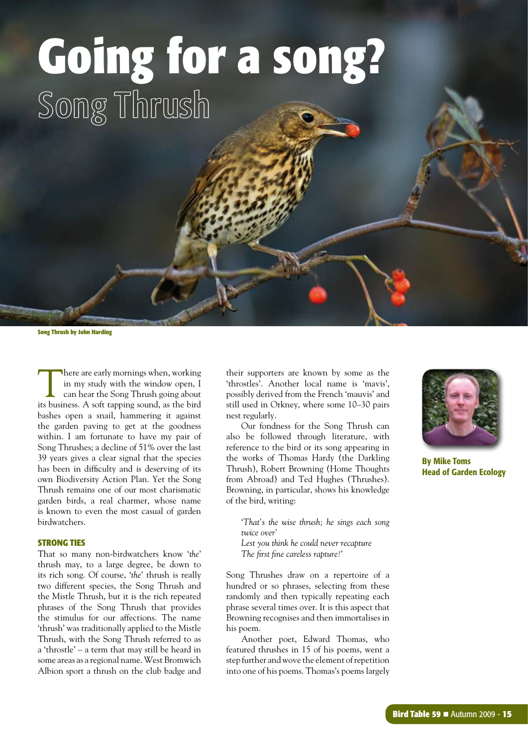# **Going for a song?** Song Thrush

**Song Thrush by John Harding**

There are early mornings when, working in my study with the window open, I can hear the Song Thrush going about its business. A soft tapping sound, as the bird bashes open a snail, hammering it against the garden paving to get at the goodness within. I am fortunate to have my pair of Song Thrushes; a decline of 51% over the last 39 years gives a clear signal that the species has been in difficulty and is deserving of its own Biodiversity Action Plan. Yet the Song Thrush remains one of our most charismatic garden birds, a real charmer, whose name is known to even the most casual of garden birdwatchers.

#### **STRONG TIES**

That so many non-birdwatchers know '*the*' thrush may, to a large degree, be down to its rich song. Of course, '*the*' thrush is really two different species, the Song Thrush and the Mistle Thrush, but it is the rich repeated phrases of the Song Thrush that provides the stimulus for our affections. The name 'thrush' was traditionally applied to the Mistle Thrush, with the Song Thrush referred to as a 'throstle' – a term that may still be heard in some areas as a regional name. West Bromwich Albion sport a thrush on the club badge and their supporters are known by some as the 'throstles'. Another local name is 'mavis', possibly derived from the French 'mauvis' and still used in Orkney, where some 10–30 pairs nest regularly.

Our fondness for the Song Thrush can also be followed through literature, with reference to the bird or its song appearing in the works of Thomas Hardy (the Darkling Thrush), Robert Browning (Home Thoughts from Abroad) and Ted Hughes (Thrushes). Browning, in particular, shows his knowledge of the bird, writing:

'*That's the wise thrush; he sings each song twice over'*

*Lest you think he could never recapture The first fine careless rapture!*'

Song Thrushes draw on a repertoire of a hundred or so phrases, selecting from these randomly and then typically repeating each phrase several times over. It is this aspect that Browning recognises and then immortalises in his poem.

Another poet, Edward Thomas, who featured thrushes in 15 of his poems, went a step further and wove the element of repetition into one of his poems. Thomas's poems largely



By Mike Toms Head of Garden Ecology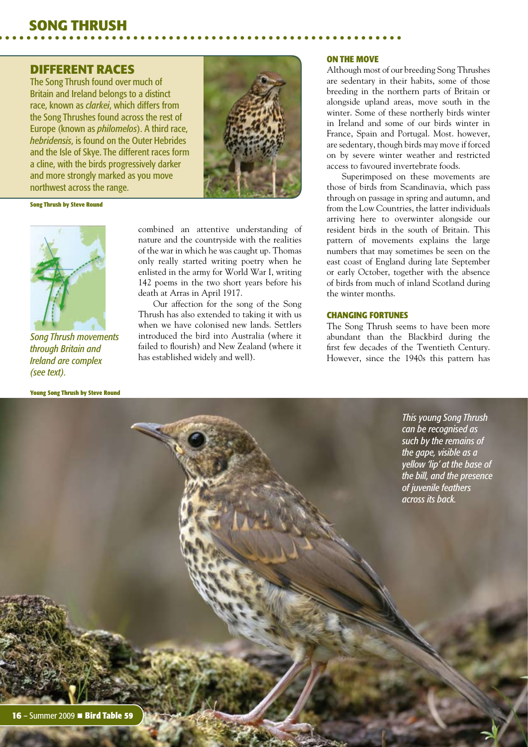#### **DIFFERENT RACES**

The Song Thrush found over much of Britain and Ireland belongs to a distinct race, known as *clarkei*, which differs from the Song Thrushes found across the rest of Europe (known as *philomelos*). A third race, *hebridensis*, is found on the Outer Hebrides and the Isle of Skye. The different races form a cline, with the birds progressively darker and more strongly marked as you move northwest across the range.



**Song Thrush by Steve Round**



*Song Thrush movements through Britain and Ireland are complex (see text).*

**Young Song Thrush by Steve Round**

combined an attentive understanding of nature and the countryside with the realities of the war in which he was caught up. Thomas only really started writing poetry when he enlisted in the army for World War I, writing 142 poems in the two short years before his death at Arras in April 1917.

Our affection for the song of the Song Thrush has also extended to taking it with us when we have colonised new lands. Settlers introduced the bird into Australia (where it failed to flourish) and New Zealand (where it has established widely and well).

#### **ON THE MOVE**

Although most of our breeding Song Thrushes are sedentary in their habits, some of those breeding in the northern parts of Britain or alongside upland areas, move south in the winter. Some of these northerly birds winter in Ireland and some of our birds winter in France, Spain and Portugal. Most. however, are sedentary, though birds may move if forced on by severe winter weather and restricted access to favoured invertebrate foods.

Superimposed on these movements are those of birds from Scandinavia, which pass through on passage in spring and autumn, and from the Low Countries, the latter individuals arriving here to overwinter alongside our resident birds in the south of Britain. This pattern of movements explains the large numbers that may sometimes be seen on the east coast of England during late September or early October, together with the absence of birds from much of inland Scotland during the winter months.

#### **CHANGING FORTUNES**

The Song Thrush seems to have been more abundant than the Blackbird during the first few decades of the Twentieth Century. However, since the 1940s this pattern has

> *This young Song Thrush can be recognised as such by the remains of the gape, visible as a yellow 'lip' at the base of the bill, and the presence of juvenile feathers across its back.*